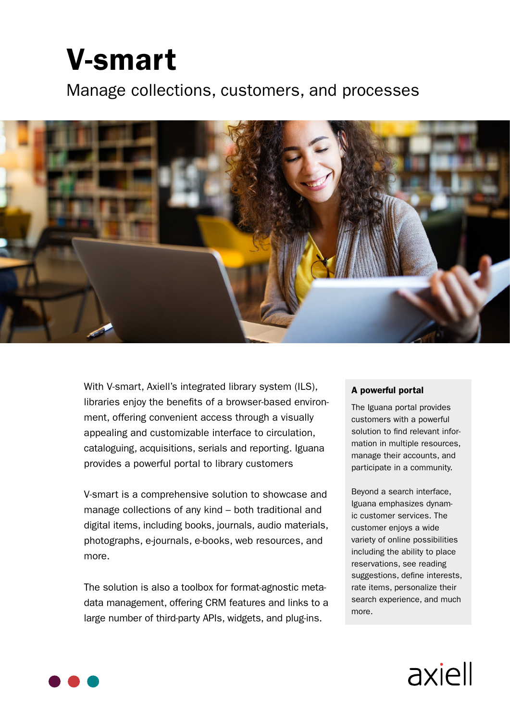# **V-smart**

Manage collections, customers, and processes



With V-smart, Axiell's integrated library system (ILS), libraries enjoy the benefits of a browser-based environment, offering convenient access through a visually appealing and customizable interface to circulation, cataloguing, acquisitions, serials and reporting. Iguana provides a powerful portal to library customers

V-smart is a comprehensive solution to showcase and manage collections of any kind  $-$  both traditional and digital items, including books, journals, audio materials, photographs, e-journals, e-books, web resources, and more.

data management, offering CRM features and links to a The solution is also a toolbox for format-agnostic metalarge number of third-party APIs, widgets, and plug-ins.

#### A powerful portal

The Iguana portal provides customers with a powerful mation in multiple resources, solution to find relevant informanage their accounts, and participate in a community.

Beyond a search interface, ic customer services. The Iguana emphasizes dynamcustomer enjoys a wide variety of online possibilities including the ability to place reservations, see reading suggestions, define interests, rate items, personalize their search experience, and much more.



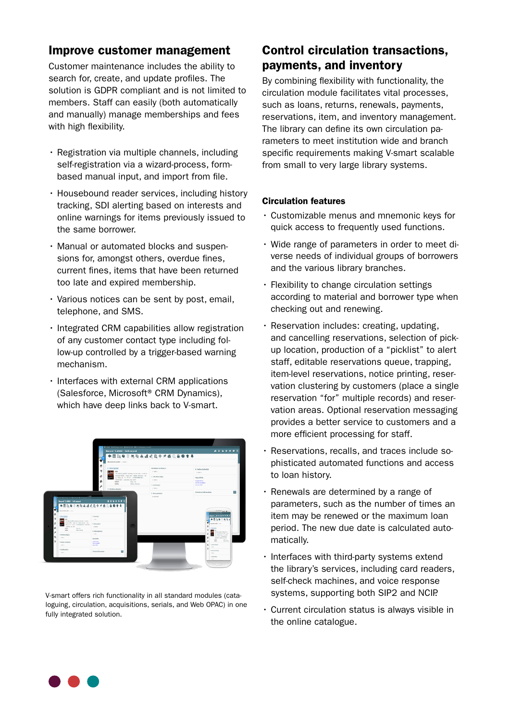## Improve customer management

Customer maintenance includes the ability to search for, create, and update profiles. The solution is GDPR compliant and is not limited to members. Staff can easily (both automatically and manually) manage memberships and fees with high flexibility.

- $\cdot$  Registration via multiple channels, including based manual input, and import from file. self-registration via a wizard-process, form-
- Housebound reader services, including history tracking, SDI alerting based on interests and online warnings for items previously issued to the same borrower.
- sions for, amongst others, overdue fines, • Manual or automated blocks and suspencurrent fines, items that have been returned too late and expired membership.
- $\cdot$  Various notices can be sent by post, email, telephone, and SMS.
- $\cdot$  Integrated CRM capabilities allow registration low-up controlled by a trigger-based warning of any customer contact type including fol-.mechanism
- $\cdot$  Interfaces with external CRM applications (Salesforce, Microsoft<sup>®</sup> CRM Dynamics), which have deep links back to V-smart.



loguing, circulation, acquisitions, serials, and Web OPAC) in one V-smart offers rich functionality in all standard modules (catafully integrated solution.

# Control circulation transactions, payments, and inventory

By combining flexibility with functionality, the circulation module facilitates vital processes. such as loans, returns, renewals, payments, reservations, item, and inventory management. rameters to meet institution wide and branch The library can define its own circulation paspecific requirements making V-smart scalable from small to very large library systems.

#### Circulation features

- $\cdot$  Customizable menus and mnemonic keys for quick access to frequently used functions.
- verse needs of individual groups of borrowers-• Wide range of parameters in order to meet diand the various library branches.
- Flexibility to change circulation settings according to material and borrower type when checking out and renewing.
- $\cdot$  Reservation includes: creating, updating, up location, production of a "picklist" to alert and cancelling reservations, selection of pickstaff, editable reservations queue, trapping, vation clustering by customers (place a single item-level reservations, notice printing, reservation areas. Optional reservation messaging reservation "for" multiple records) and reserprovides a better service to customers and a more efficient processing for staff.
- · Reservations, recalls, and traces include sophisticated automated functions and access to loan history.
- $\cdot$  Renewals are determined by a range of parameters, such as the number of times an item may be renewed or the maximum loan period. The new due date is calculated auto-<br>matically.
- $\cdot$  Interfaces with third-party systems extend the library's services, including card readers, self-check machines, and voice response systems, supporting both SIP2 and NCIP.
- Current circulation status is always visible in the online catalogue.

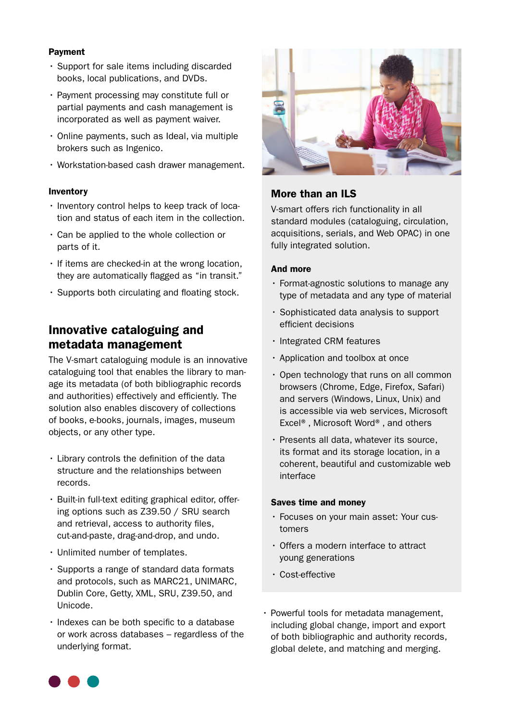#### Payment

- Support for sale items including discarded books, local publications, and DVDs.
- Payment processing may constitute full or partial payments and cash management is incorporated as well as payment waiver.
- $\cdot$  Online payments, such as Ideal, via multiple brokers such as Ingenico.
- $\cdot$  Workstation-based cash drawer management.

#### Inventory

- tion and status of each item in the collection.  $\cdot$  Inventory control helps to keep track of loca-
- $\cdot$  Can be applied to the whole collection or parts of it.
- $\cdot$  If items are checked-in at the wrong location, they are automatically flagged as "in transit."
- $\cdot$  Supports both circulating and floating stock.

## Innovative cataloguing and metadata management

The V-smart cataloguing module is an innovative age its metadata (of both bibliographic records cataloguing tool that enables the library to manand authorities) effectively and efficiently. The solution also enables discovery of collections of books, e-books, journals, images, museum objects, or any other type.

- $\cdot$  Library controls the definition of the data structure and the relationships between .records
- ing options such as  $Z39.50 / SRU$  search  $\cdot$  Built-in full-text editing graphical editor, offerand retrieval, access to authority files, cut-and-paste, drag-and-drop, and undo.
- Unlimited number of templates.
- Supports a range of standard data formats and protocols, such as MARC21, UNIMARC, Dublin Core, Getty, XML, SRU, Z39.50, and .Unicode
- $\cdot$  Indexes can be both specific to a database or work across databases – regardless of the underlying format.



## More than an ILS

V-smart offers rich functionality in all standard modules (cataloguing, circulation, acquisitions, serials, and Web OPAC) in one fully integrated solution.

#### And more

- Format-agnostic solutions to manage any type of metadata and any type of material
- Sophisticated data analysis to support efficient decisions
- $\cdot$  Integrated CRM features
- Application and toolbox at once
- $\cdot$  Open technology that runs on all common browsers (Chrome, Edge, Firefox, Safari) and servers (Windows, Linux, Unix) and is accessible via web services, Microsoft Excel<sup>®</sup>, Microsoft Word<sup>®</sup>, and others
- $\cdot$  Presents all data, whatever its source. its format and its storage location, in a coherent, beautiful and customizable web interface

#### Saves time and money

- Focuses on your main asset: Your cus-<br>tomers
- $\cdot$  Offers a modern interface to attract young generations
- Cost-effective
- Powerful tools for metadata management, including global change, import and export of both bibliographic and authority records, global delete, and matching and merging.

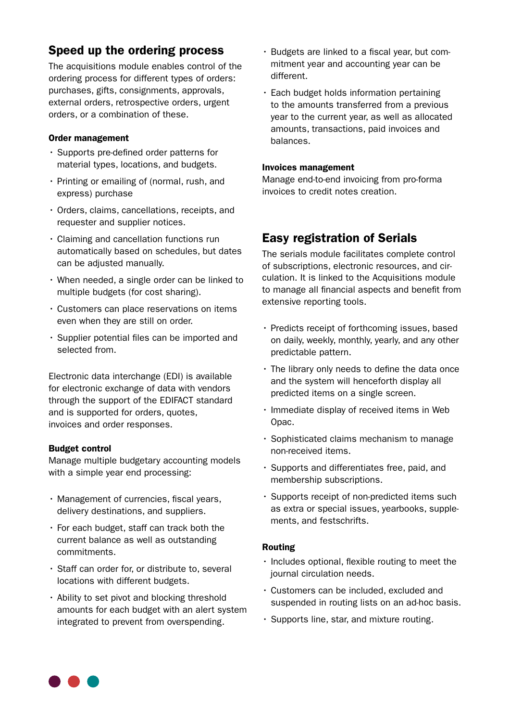## Speed up the ordering process

The acquisitions module enables control of the ordering process for different types of orders: purchases, gifts, consignments, approvals, external orders, retrospective orders, urgent orders, or a combination of these.

#### Order management

- $\cdot$  Supports pre-defined order patterns for material types, locations, and budgets.
- Printing or emailing of (normal, rush, and express) purchase
- $\cdot$  Orders, claims, cancellations, receipts, and requester and supplier notices.
- $\cdot$  Claiming and cancellation functions run automatically based on schedules, but dates can be adjusted manually.
- $\cdot$  When needed, a single order can be linked to multiple budgets (for cost sharing).
- $\cdot$  Customers can place reservations on items even when they are still on order.
- $\cdot$  Supplier potential files can be imported and selected from.

Electronic data interchange (EDI) is available for electronic exchange of data with vendors through the support of the EDIFACT standard and is supported for orders, quotes, invoices and order responses.

#### **Budget control**

Manage multiple budgetary accounting models with a simple year end processing:

- $\cdot$  Management of currencies, fiscal years, delivery destinations, and suppliers.
- $\cdot$  For each budget, staff can track both the current balance as well as outstanding .commitments
- $\cdot$  Staff can order for, or distribute to, several locations with different budgets.
- $\cdot$  Ability to set pivot and blocking threshold amounts for each budget with an alert system integrated to prevent from overspending.
- mitment year and accounting year can be · Budgets are linked to a fiscal year, but comdifferent.
- $\cdot$  Each budget holds information pertaining to the amounts transferred from a previous year to the current year, as well as allocated amounts, transactions, paid invoices and .balances

#### Invoices management

Manage end-to-end invoicing from pro-forma invoices to credit notes creation.

## **Easy registration of Serials**

The serials module facilitates complete control culation. It is linked to the Acquisitions module of subscriptions, electronic resources, and cirto manage all financial aspects and benefit from extensive reporting tools.

- $\cdot$  Predicts receipt of forthcoming issues, based on daily, weekly, monthly, yearly, and any other predictable pattern.
- $\cdot$  The library only needs to define the data once and the system will henceforth display all predicted items on a single screen.
- · Immediate display of received items in Web .Opac
- $\cdot$  Sophisticated claims mechanism to manage non-received items.
- $\cdot$  Supports and differentiates free, paid, and membership subscriptions.
- $\cdot$  Supports receipt of non-predicted items such as extra or special issues, yearbooks, supple-<br>ments, and festschrifts.

#### Routing

- $\cdot$  Includes optional, flexible routing to meet the journal circulation needs.
- Customers can be included, excluded and suspended in routing lists on an ad-hoc basis.
- $\cdot$  Supports line, star, and mixture routing.